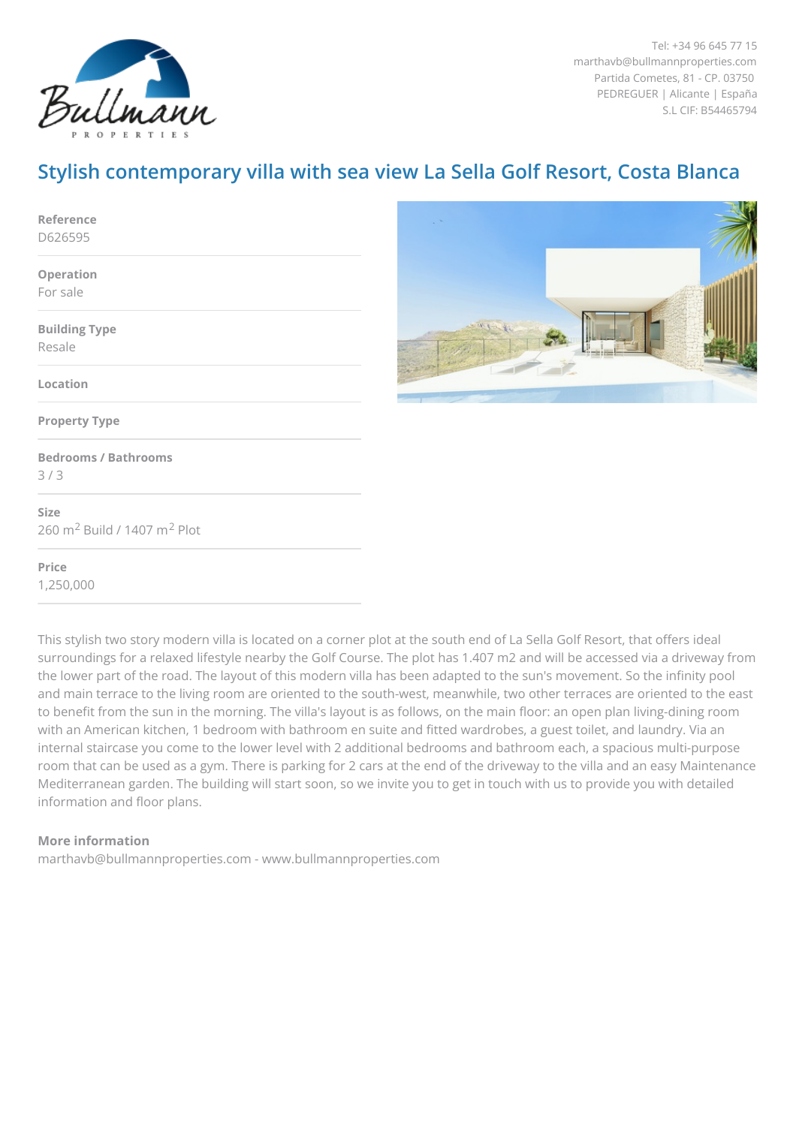

Tel: +34 96 645 77 15 marthavb@bullmannproperties.com Partida Cometes, 81 - CP. 03750 PEDREGUER | Alicante | España S.L CIF: B54465794

## **Stylish contemporary villa with sea view La Sella Golf Resort, Costa Blanca**

| Reference<br>D626595                                               |  |
|--------------------------------------------------------------------|--|
| Operation<br>For sale                                              |  |
| <b>Building Type</b><br>Resale                                     |  |
| Location                                                           |  |
| <b>Property Type</b>                                               |  |
| <b>Bedrooms / Bathrooms</b><br>3/3                                 |  |
| <b>Size</b><br>260 m <sup>2</sup> Build / 1407 m <sup>2</sup> Plot |  |
| Price<br>1,250,000                                                 |  |

This stylish two story modern villa is located on a corner plot at the south end of La Sella Golf Resort, that offers ideal surroundings for a relaxed lifestyle nearby the Golf Course. The plot has 1.407 m2 and will be accessed via a driveway from the lower part of the road. The layout of this modern villa has been adapted to the sun's movement. So the infinity pool and main terrace to the living room are oriented to the south-west, meanwhile, two other terraces are oriented to the east to benefit from the sun in the morning. The villa's layout is as follows, on the main floor: an open plan living-dining room with an American kitchen, 1 bedroom with bathroom en suite and fitted wardrobes, a guest toilet, and laundry. Via an internal staircase you come to the lower level with 2 additional bedrooms and bathroom each, a spacious multi-purpose room that can be used as a gym. There is parking for 2 cars at the end of the driveway to the villa and an easy Maintenance Mediterranean garden. The building will start soon, so we invite you to get in touch with us to provide you with detailed information and floor plans.

## **More information**

marthavb@bullmannproperties.com - www.bullmannproperties.com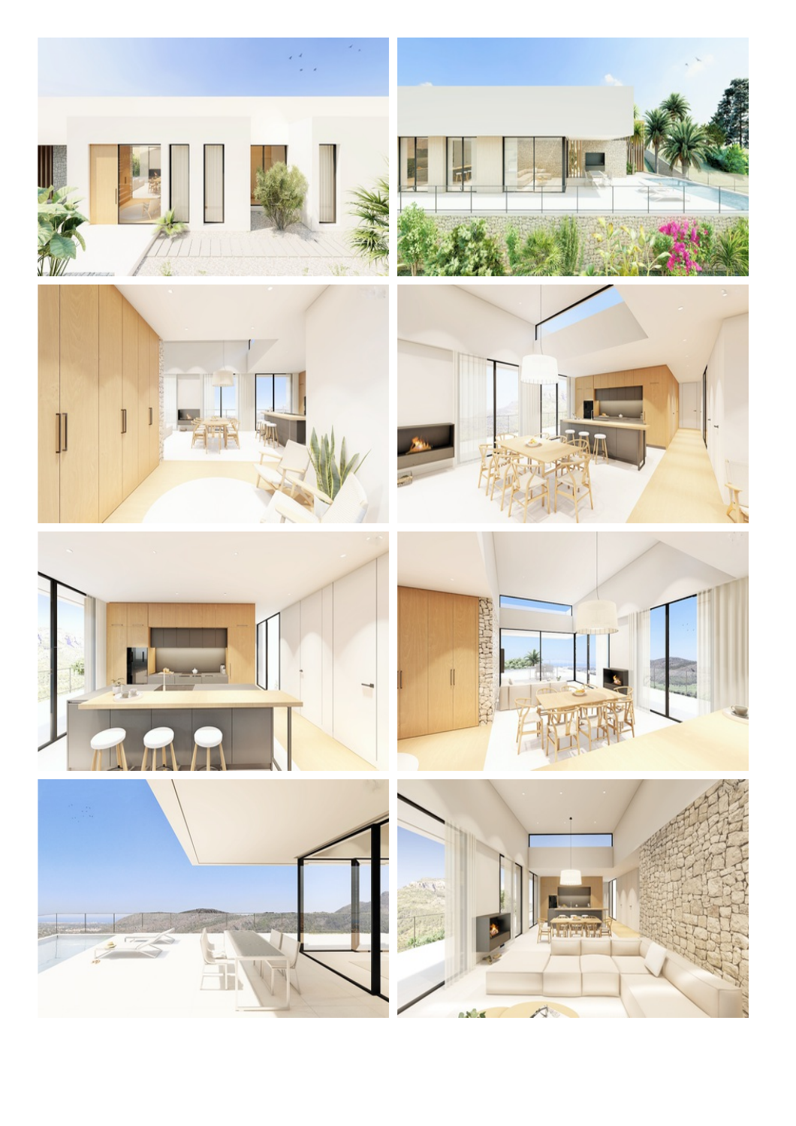